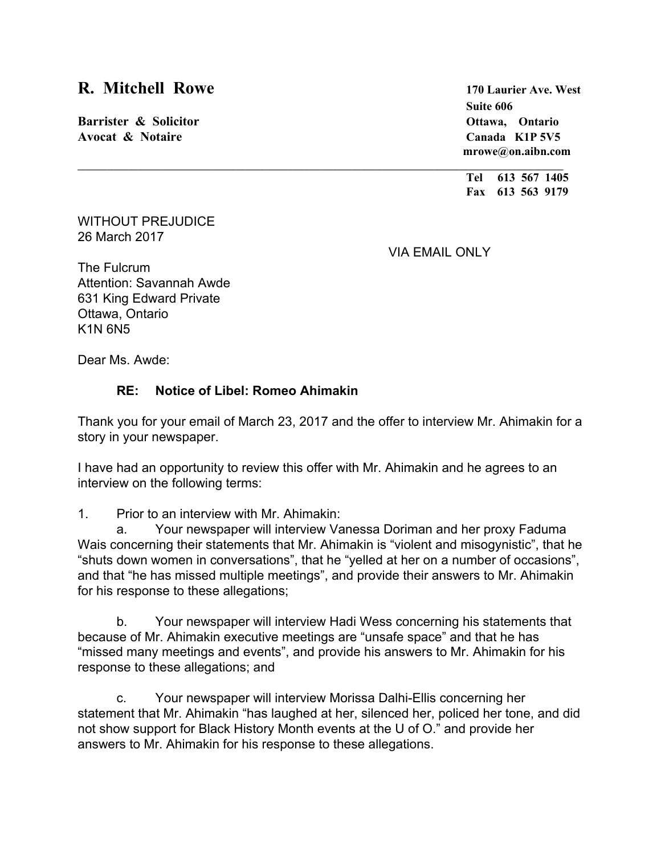## **R. Mitchell Rowe <sup>170</sup> Laurier Ave. West**

**Barrister & Solicitor Ottawa, Ontario Avocat & Notaire Canada K1P 5V5**

**Suite 606 mrowe@on.aibn.com**

**Tel 613 567 1405 Fax 613 563 9179**

WITHOUT PREJUDICE 26 March 2017

VIA EMAIL ONLY

The Fulcrum Attention: Savannah Awde 631 King Edward Private Ottawa, Ontario K1N 6N5

Dear Ms. Awde:

## **RE: Notice of Libel: Romeo Ahimakin**

Thank you for your email of March 23, 2017 and the offer to interview Mr. Ahimakin for a story in your newspaper.

I have had an opportunity to review this offer with Mr. Ahimakin and he agrees to an interview on the following terms:

1. Prior to an interview with Mr. Ahimakin:

a. Your newspaper will interview Vanessa Doriman and her proxy Faduma Wais concerning their statements that Mr. Ahimakin is "violent and misogynistic", that he "shuts down women in conversations", that he "yelled at her on a number of occasions", and that "he has missed multiple meetings", and provide their answers to Mr. Ahimakin for his response to these allegations;

b. Your newspaper will interview Hadi Wess concerning his statements that because of Mr. Ahimakin executive meetings are "unsafe space" and that he has "missed many meetings and events", and provide his answers to Mr. Ahimakin for his response to these allegations; and

c. Your newspaper will interview Morissa Dalhi-Ellis concerning her statement that Mr. Ahimakin "has laughed at her, silenced her, policed her tone, and did not show support for Black History Month events at the U of O." and provide her answers to Mr. Ahimakin for his response to these allegations.